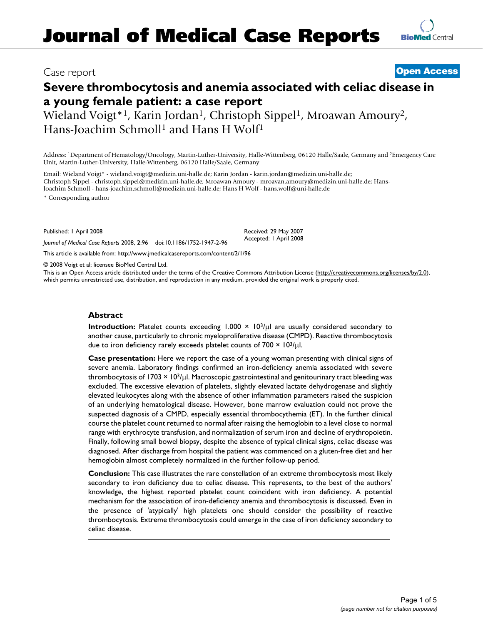## Case report **[Open Access](http://www.biomedcentral.com/info/about/charter/)**

**[BioMed](http://www.biomedcentral.com/)** Central

# **Severe thrombocytosis and anemia associated with celiac disease in a young female patient: a case report**

Wieland Voigt<sup>\*1</sup>, Karin Jordan<sup>1</sup>, Christoph Sippel<sup>1</sup>, Mroawan Amoury<sup>2</sup>, Hans-Joachim Schmoll<sup>1</sup> and Hans H Wolf<sup>1</sup>

Address: 1Department of Hematology/Oncology, Martin-Luther-University, Halle-Wittenberg, 06120 Halle/Saale, Germany and 2Emergency Care Unit, Martin-Luther-University, Halle-Wittenberg, 06120 Halle/Saale, Germany

Email: Wieland Voigt\* - wieland.voigt@medizin.uni-halle.de; Karin Jordan - karin.jordan@medizin.uni-halle.de; Christoph Sippel - christoph.sippel@medizin.uni-halle.de; Mroawan Amoury - mroavan.amoury@medizin.uni-halle.de; Hans-Joachim Schmoll - hans-joachim.schmoll@medizin.uni-halle.de; Hans H Wolf - hans.wolf@uni-halle.de \* Corresponding author

Published: 1 April 2008

*Journal of Medical Case Reports* 2008, **2**:96 doi:10.1186/1752-1947-2-96

[This article is available from: http://www.jmedicalcasereports.com/content/2/1/96](http://www.jmedicalcasereports.com/content/2/1/96)

© 2008 Voigt et al; licensee BioMed Central Ltd.

This is an Open Access article distributed under the terms of the Creative Commons Attribution License [\(http://creativecommons.org/licenses/by/2.0\)](http://creativecommons.org/licenses/by/2.0), which permits unrestricted use, distribution, and reproduction in any medium, provided the original work is properly cited.

Received: 29 May 2007 Accepted: 1 April 2008

#### **Abstract**

**Introduction:** Platelet counts exceeding 1.000  $\times$  10<sup>3</sup>/ $\mu$ l are usually considered secondary to another cause, particularly to chronic myeloproliferative disease (CMPD). Reactive thrombocytosis due to iron deficiency rarely exceeds platelet counts of  $700 \times 10^{3}/\mu$ l.

**Case presentation:** Here we report the case of a young woman presenting with clinical signs of severe anemia. Laboratory findings confirmed an iron-deficiency anemia associated with severe thrombocytosis of 1703 × 103/µl. Macroscopic gastrointestinal and genitourinary tract bleeding was excluded. The excessive elevation of platelets, slightly elevated lactate dehydrogenase and slightly elevated leukocytes along with the absence of other inflammation parameters raised the suspicion of an underlying hematological disease. However, bone marrow evaluation could not prove the suspected diagnosis of a CMPD, especially essential thrombocythemia (ET). In the further clinical course the platelet count returned to normal after raising the hemoglobin to a level close to normal range with erythrocyte transfusion, and normalization of serum iron and decline of erythropoietin. Finally, following small bowel biopsy, despite the absence of typical clinical signs, celiac disease was diagnosed. After discharge from hospital the patient was commenced on a gluten-free diet and her hemoglobin almost completely normalized in the further follow-up period.

**Conclusion:** This case illustrates the rare constellation of an extreme thrombocytosis most likely secondary to iron deficiency due to celiac disease. This represents, to the best of the authors' knowledge, the highest reported platelet count coincident with iron deficiency. A potential mechanism for the association of iron-deficiency anemia and thrombocytosis is discussed. Even in the presence of 'atypically' high platelets one should consider the possibility of reactive thrombocytosis. Extreme thrombocytosis could emerge in the case of iron deficiency secondary to celiac disease.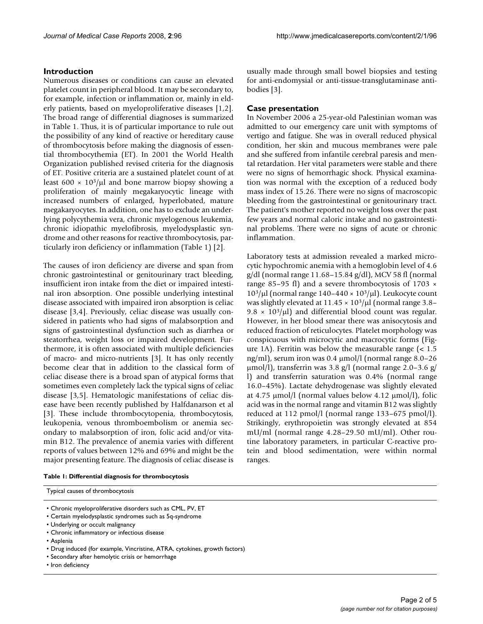### **Introduction**

Numerous diseases or conditions can cause an elevated platelet count in peripheral blood. It may be secondary to, for example, infection or inflammation or, mainly in elderly patients, based on myeloproliferative diseases [1,2]. The broad range of differential diagnoses is summarized in Table 1. Thus, it is of particular importance to rule out the possibility of any kind of reactive or hereditary cause of thrombocytosis before making the diagnosis of essential thrombocythemia (ET). In 2001 the World Health Organization published revised criteria for the diagnosis of ET. Positive criteria are a sustained platelet count of at least 600  $\times$  10<sup>3</sup>/ $\mu$ l and bone marrow biopsy showing a proliferation of mainly megakaryocytic lineage with increased numbers of enlarged, hyperlobated, mature megakaryocytes. In addition, one has to exclude an underlying polycythemia vera, chronic myelogenous leukemia, chronic idiopathic myelofibrosis, myelodysplastic syndrome and other reasons for reactive thrombocytosis, particularly iron deficiency or inflammation (Table 1) [2].

The causes of iron deficiency are diverse and span from chronic gastrointestinal or genitourinary tract bleeding, insufficient iron intake from the diet or impaired intestinal iron absorption. One possible underlying intestinal disease associated with impaired iron absorption is celiac disease [3,4]. Previously, celiac disease was usually considered in patients who had signs of malabsorption and signs of gastrointestinal dysfunction such as diarrhea or steatorrhea, weight loss or impaired development. Furthermore, it is often associated with multiple deficiencies of macro- and micro-nutrients [3]. It has only recently become clear that in addition to the classical form of celiac disease there is a broad span of atypical forms that sometimes even completely lack the typical signs of celiac disease [3,5]. Hematologic manifestations of celiac disease have been recently published by Halfdanarson et al [3]. These include thrombocytopenia, thrombocytosis, leukopenia, venous thromboembolism or anemia secondary to malabsorption of iron, folic acid and/or vitamin B12. The prevalence of anemia varies with different reports of values between 12% and 69% and might be the major presenting feature. The diagnosis of celiac disease is usually made through small bowel biopsies and testing for anti-endomysial or anti-tissue-transglutaminase antibodies [3].

#### **Case presentation**

In November 2006 a 25-year-old Palestinian woman was admitted to our emergency care unit with symptoms of vertigo and fatigue. She was in overall reduced physical condition, her skin and mucous membranes were pale and she suffered from infantile cerebral paresis and mental retardation. Her vital parameters were stable and there were no signs of hemorrhagic shock. Physical examination was normal with the exception of a reduced body mass index of 15.26. There were no signs of macroscopic bleeding from the gastrointestinal or genitourinary tract. The patient's mother reported no weight loss over the past few years and normal caloric intake and no gastrointestinal problems. There were no signs of acute or chronic inflammation.

Laboratory tests at admission revealed a marked microcytic hypochromic anemia with a hemoglobin level of 4.6 g/dl (normal range 11.68–15.84 g/dl), MCV 58 fl (normal range 85–95 fl) and a severe thrombocytosis of 1703  $\times$  $10^3/\mu$ l (normal range 140–440 × 10<sup>3</sup>/ $\mu$ l). Leukocyte count was slightly elevated at  $11.45 \times 10^3/\mu$ l (normal range 3.8– 9.8  $\times$  10<sup>3</sup>/µl) and differential blood count was regular. However, in her blood smear there was anisocytosis and reduced fraction of reticulocytes. Platelet morphology was conspicuous with microcytic and macrocytic forms (Figure 1A). Ferritin was below the measurable range (< 1.5 ng/ml), serum iron was 0.4 µmol/l (normal range 8.0–26  $\mu$ mol/l), transferrin was 3.8 g/l (normal range 2.0–3.6 g/ l) and transferrin saturation was 0.4% (normal range 16.0–45%). Lactate dehydrogenase was slightly elevated at 4.75 µmol/l (normal values below 4.12 µmol/l), folic acid was in the normal range and vitamin B12 was slightly reduced at 112 pmol/l (normal range 133–675 pmol/l). Strikingly, erythropoietin was strongly elevated at 854 mU/ml (normal range 4.28–29.50 mU/ml). Other routine laboratory parameters, in particular C-reactive protein and blood sedimentation, were within normal ranges.

#### **Table 1: Differential diagnosis for thrombocytosis**

Typical causes of thrombocytosis

- Chronic myeloproliferative disorders such as CML, PV, ET
- Certain myelodysplastic syndromes such as 5q-syndrome
- Underlying or occult malignancy
- Chronic inflammatory or infectious disease
- Asplenia
- Drug induced (for example, Vincristine, ATRA, cytokines, growth factors)
- Secondary after hemolytic crisis or hemorrhage
- Iron deficiency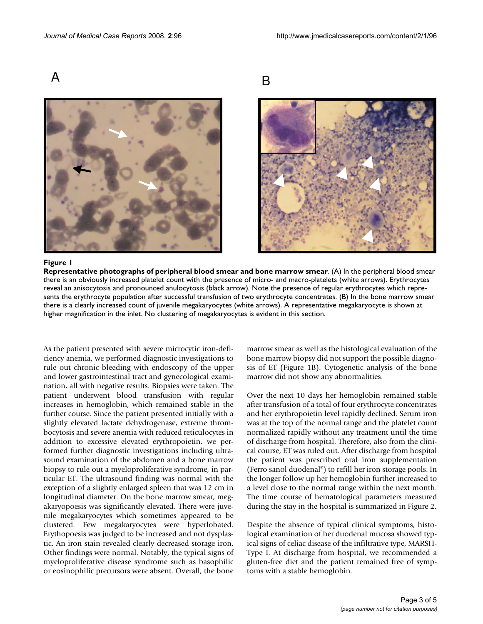A B





#### Representative photographs of peripher **Figure 1** al blood smear and bone marrow smear

**Representative photographs of peripheral blood smear and bone marrow smear**. (A) In the peripheral blood smear there is an obviously increased platelet count with the presence of micro- and macro-platelets (white arrows). Erythrocytes reveal an anisocytosis and pronounced anulocytosis (black arrow). Note the presence of regular erythrocytes which represents the erythrocyte population after successful transfusion of two erythrocyte concentrates. (B) In the bone marrow smear there is a clearly increased count of juvenile megakaryocytes (white arrows). A representative megakaryocyte is shown at higher magnification in the inlet. No clustering of megakaryocytes is evident in this section.

As the patient presented with severe microcytic iron-deficiency anemia, we performed diagnostic investigations to rule out chronic bleeding with endoscopy of the upper and lower gastrointestinal tract and gynecological examination, all with negative results. Biopsies were taken. The patient underwent blood transfusion with regular increases in hemoglobin, which remained stable in the further course. Since the patient presented initially with a slightly elevated lactate dehydrogenase, extreme thrombocytosis and severe anemia with reduced reticulocytes in addition to excessive elevated erythropoietin, we performed further diagnostic investigations including ultrasound examination of the abdomen and a bone marrow biopsy to rule out a myeloproliferative syndrome, in particular ET. The ultrasound finding was normal with the exception of a slightly enlarged spleen that was 12 cm in longitudinal diameter. On the bone marrow smear, megakaryopoesis was significantly elevated. There were juvenile megakaryocytes which sometimes appeared to be clustered. Few megakaryocytes were hyperlobated. Erythopoesis was judged to be increased and not dysplastic. An iron stain revealed clearly decreased storage iron. Other findings were normal. Notably, the typical signs of myeloproliferative disease syndrome such as basophilic or eosinophilic precursors were absent. Overall, the bone marrow smear as well as the histological evaluation of the bone marrow biopsy did not support the possible diagnosis of ET (Figure 1B). Cytogenetic analysis of the bone marrow did not show any abnormalities.

Over the next 10 days her hemoglobin remained stable after transfusion of a total of four erythrocyte concentrates and her erythropoietin level rapidly declined. Serum iron was at the top of the normal range and the platelet count normalized rapidly without any treatment until the time of discharge from hospital. Therefore, also from the clinical course, ET was ruled out. After discharge from hospital the patient was prescribed oral iron supplementation (Ferro sanol duodenal®) to refill her iron storage pools. In the longer follow up her hemoglobin further increased to a level close to the normal range within the next month. The time course of hematological parameters measured during the stay in the hospital is summarized in Figure 2.

Despite the absence of typical clinical symptoms, histological examination of her duodenal mucosa showed typical signs of celiac disease of the infiltrative type, MARSH-Type I. At discharge from hospital, we recommended a gluten-free diet and the patient remained free of symptoms with a stable hemoglobin.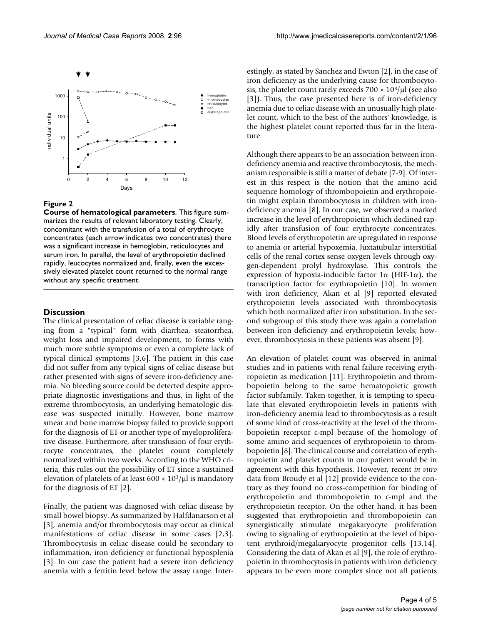

#### **Figure 2**

**Course of hematological parameters**. This figure summarizes the results of relevant laboratory testing. Clearly, concomitant with the transfusion of a total of erythrocyte concentrates (each arrow indicates two concentrates) there was a significant increase in hemoglobin, reticulocytes and serum iron. In parallel, the level of erythropoietin declined rapidly, leucocytes normalized and, finally, even the excessively elevated platelet count returned to the normal range without any specific treatment.

#### **Discussion**

The clinical presentation of celiac disease is variable ranging from a "typical" form with diarrhea, steatorrhea, weight loss and impaired development, to forms with much more subtle symptoms or even a complete lack of typical clinical symptoms [3,6]. The patient in this case did not suffer from any typical signs of celiac disease but rather presented with signs of severe iron-deficiency anemia. No bleeding source could be detected despite appropriate diagnostic investigations and thus, in light of the extreme thrombocytosis, an underlying hematologic disease was suspected initially. However, bone marrow smear and bone marrow biopsy failed to provide support for the diagnosis of ET or another type of myeloproliferative disease. Furthermore, after transfusion of four erythrocyte concentrates, the platelet count completely normalized within two weeks. According to the WHO criteria, this rules out the possibility of ET since a sustained elevation of platelets of at least  $600 \times 10^3/\mu$ l is mandatory for the diagnosis of ET [2].

Finally, the patient was diagnosed with celiac disease by small bowel biopsy. As summarized by Halfdanarson et al [3], anemia and/or thrombocytosis may occur as clinical manifestations of celiac disease in some cases [2,3]. Thrombocytosis in celiac disease could be secondary to inflammation, iron deficiency or functional hyposplenia [3]. In our case the patient had a severe iron deficiency anemia with a ferritin level below the assay range. Interestingly, as stated by Sanchez and Ewton [2], in the case of iron deficiency as the underlying cause for thrombocytosis, the platelet count rarely exceeds  $700 \times 10^{3}/\mu$ l (see also [3]). Thus, the case presented here is of iron-deficiency anemia due to celiac disease with an unusually high platelet count, which to the best of the authors' knowledge, is the highest platelet count reported thus far in the literature.

Although there appears to be an association between irondeficiency anemia and reactive thrombocytosis, the mechanism responsible is still a matter of debate [7-9]. Of interest in this respect is the notion that the amino acid sequence homology of thrombopoietin and erythropoietin might explain thrombocytosis in children with irondeficiency anemia [8]. In our case, we observed a marked increase in the level of erythropoietin which declined rapidly after transfusion of four erythrocyte concentrates. Blood levels of erythropoietin are upregulated in response to anemia or arterial hypoxemia. Juxtatubular interstitial cells of the renal cortex sense oxygen levels through oxygen-dependent prolyl hydroxylase. This controls the expression of hypoxia-inducible factor  $1\alpha$  (HIF-1 $\alpha$ ), the transcription factor for erythropoietin [10]. In women with iron deficiency, Akan et al [9] reported elevated erythropoietin levels associated with thrombocytosis which both normalized after iron substitution. In the second subgroup of this study there was again a correlation between iron deficiency and erythropoietin levels; however, thrombocytosis in these patients was absent [9].

An elevation of platelet count was observed in animal studies and in patients with renal failure receiving erythropoietin as medication [11]. Erythropoietin and thrombopoietin belong to the same hematopoietic growth factor subfamily. Taken together, it is tempting to speculate that elevated erythropoietin levels in patients with iron-deficiency anemia lead to thrombocytosis as a result of some kind of cross-reactivity at the level of the thrombopoietin receptor c-mpl because of the homology of some amino acid sequences of erythropoietin to thrombopoietin [8]. The clinical course and correlation of erythropoietin and platelet counts in our patient would be in agreement with this hypothesis. However, recent *in vitro* data from Broudy et al [12] provide evidence to the contrary as they found no cross-competition for binding of erythropoietin and thrombopoietin to c-mpl and the erythropoietin receptor. On the other hand, it has been suggested that erythropoietin and thrombopoietin can synergistically stimulate megakaryocyte proliferation owing to signaling of erythropoietin at the level of bipotent erythroid/megakaryocyte progenitor cells [13,14]. Considering the data of Akan et al [9], the role of erythropoietin in thrombocytosis in patients with iron deficiency appears to be even more complex since not all patients